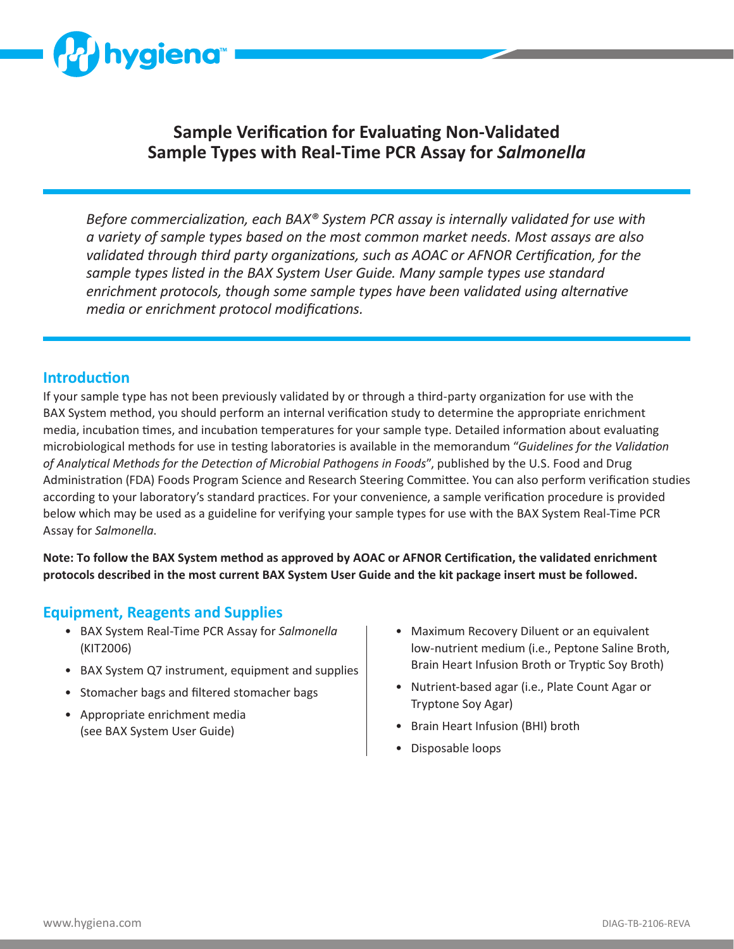

# **Sample Verification for Evaluating Non-Validated Sample Types with Real-Time PCR Assay for** *Salmonella*

*Before commercialization, each BAX® System PCR assay is internally validated for use with a variety of sample types based on the most common market needs. Most assays are also validated through third party organizations, such as AOAC or AFNOR Certification, for the sample types listed in the BAX System User Guide. Many sample types use standard enrichment protocols, though some sample types have been validated using alternative media or enrichment protocol modifications.*

#### **Introduction**

If your sample type has not been previously validated by or through a third-party organization for use with the BAX System method, you should perform an internal verification study to determine the appropriate enrichment media, incubation times, and incubation temperatures for your sample type. Detailed information about evaluating microbiological methods for use in testing laboratories is available in the memorandum "*Guidelines for the Validation of Analytical Methods for the Detection of Microbial Pathogens in Foods*", published by the U.S. Food and Drug Administration (FDA) Foods Program Science and Research Steering Committee. You can also perform verification studies according to your laboratory's standard practices. For your convenience, a sample verification procedure is provided below which may be used as a guideline for verifying your sample types for use with the BAX System Real-Time PCR Assay for *Salmonella*.

**Note: To follow the BAX System method as approved by AOAC or AFNOR Certification, the validated enrichment protocols described in the most current BAX System User Guide and the kit package insert must be followed.**

#### **Equipment, Reagents and Supplies**

- BAX System Real-Time PCR Assay for *Salmonella* (KIT2006)
- BAX System Q7 instrument, equipment and supplies
- Stomacher bags and filtered stomacher bags
- Appropriate enrichment media (see BAX System User Guide)
- Maximum Recovery Diluent or an equivalent low-nutrient medium (i.e., Peptone Saline Broth, Brain Heart Infusion Broth or Tryptic Soy Broth)
- Nutrient-based agar (i.e., Plate Count Agar or Tryptone Soy Agar)
- Brain Heart Infusion (BHI) broth
- Disposable loops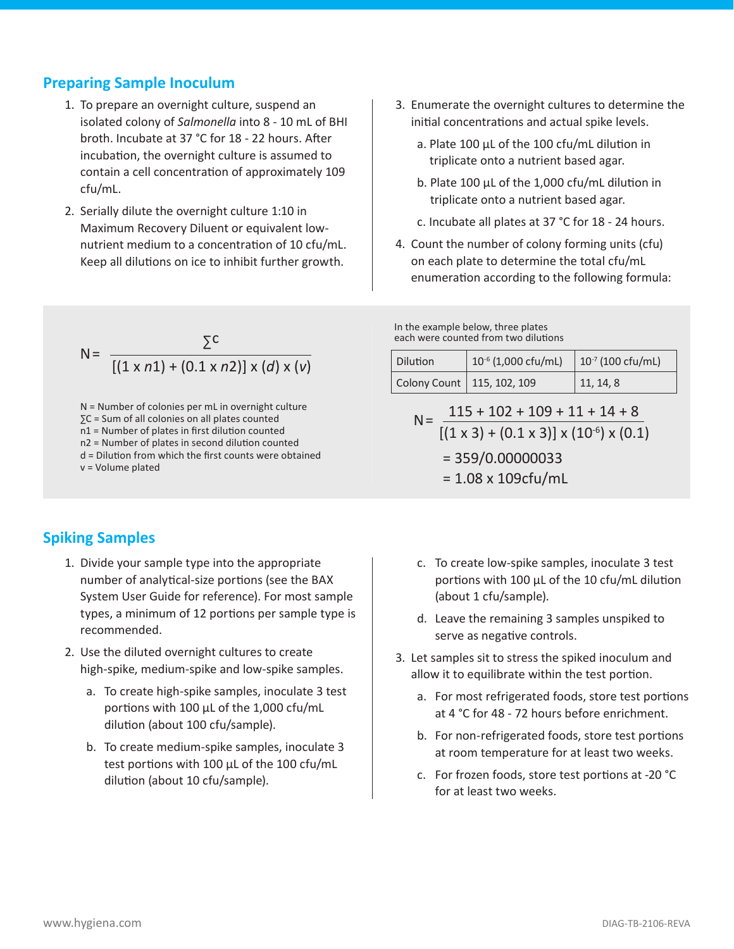#### **Preparing Sample Inoculum**

- 1. To prepare an overnight culture, suspend an isolated colony of *Salmonella* into 8 - 10 mL of BHI broth. Incubate at 37 °C for 18 - 22 hours. After incubation, the overnight culture is assumed to contain a cell concentration of approximately 109 cfu/mL.
- 2. Serially dilute the overnight culture 1:10 in Maximum Recovery Diluent or equivalent lownutrient medium to a concentration of 10 cfu/mL. Keep all dilutions on ice to inhibit further growth.
- 3. Enumerate the overnight cultures to determine the initial concentrations and actual spike levels.
	- a. Plate 100 μL of the 100 cfu/mL dilution in triplicate onto a nutrient based agar.
	- b. Plate 100 μL of the 1,000 cfu/mL dilution in triplicate onto a nutrient based agar.
	- c. Incubate all plates at 37 °C for 18 24 hours.
- 4. Count the number of colony forming units (cfu) on each plate to determine the total cfu/mL enumeration according to the following formula:

N = 
$$
\frac{\sum C}{[(1 \times n1) + (0.1 \times n2)] \times (d) \times (v)}
$$

N = Number of colonies per mL in overnight culture ∑C = Sum of all colonies on all plates counted n1 = Number of plates in first dilution counted n2 = Number of plates in second dilution counted d = Dilution from which the first counts were obtained v = Volume plated

## **Spiking Samples**

- 1. Divide your sample type into the appropriate number of analytical-size portions (see the BAX System User Guide for reference). For most sample types, a minimum of 12 portions per sample type is recommended.
- 2. Use the diluted overnight cultures to create high-spike, medium-spike and low-spike samples.
	- a. To create high-spike samples, inoculate 3 test portions with 100 μL of the 1,000 cfu/mL dilution (about 100 cfu/sample).
	- b. To create medium-spike samples, inoculate 3 test portions with 100 μL of the 100 cfu/mL dilution (about 10 cfu/sample).

In the example below, three plates each were counted from two dilutions

| <b>Dilution</b>              | $10^{-6}$ (1,000 cfu/mL) | $10^{-7}$ (100 cfu/mL) |
|------------------------------|--------------------------|------------------------|
| Colony Count   115, 102, 109 |                          | 11, 14, 8              |

$$
N = \frac{115 + 102 + 109 + 11 + 14 + 8}{[(1 \times 3) + (0.1 \times 3)] \times (10^{-6}) \times (0.1)}
$$
  
= 359/0.00000033  
= 1.08 x 109cfu/mL

- c. To create low-spike samples, inoculate 3 test portions with 100 μL of the 10 cfu/mL dilution (about 1 cfu/sample).
- d. Leave the remaining 3 samples unspiked to serve as negative controls.
- 3. Let samples sit to stress the spiked inoculum and allow it to equilibrate within the test portion.
	- a. For most refrigerated foods, store test portions at 4 °C for 48 - 72 hours before enrichment.
	- b. For non-refrigerated foods, store test portions at room temperature for at least two weeks.
	- c. For frozen foods, store test portions at -20 °C for at least two weeks.